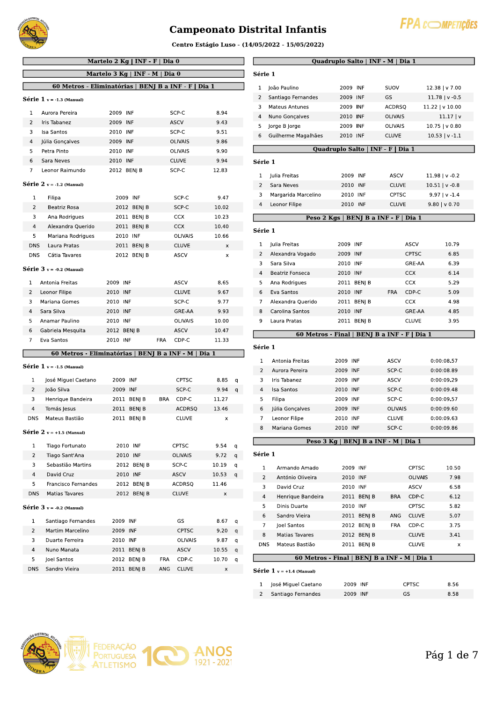

#### Campeonato Distrital Infantis



Centro Estagio Luso - (14/05/2022 - 15/05/2022)

| Martelo 2 Kg   INF - F   Dia 0<br>Martelo 3 Kg   INF - M   Dia 0<br>60 Metros - Eliminatórias   BENJ B a INF - F   Dia 1<br>$Série 1 v = -1.3 (Manual)$<br>1<br>Aurora Pereira<br>2009 INF<br>SCP-C<br>8.94<br>$\overline{2}$<br>2009 INF<br><b>ASCV</b><br>Iris Tabanez<br>9.43<br>3<br><b>Isa Santos</b><br>2010 INF<br>SCP-C<br>9.51<br>4<br>2009 INF<br>Júlia Gonçalves<br><b>OLIVAIS</b><br>9.86<br>5<br>Petra Pinto<br>2010 INF<br><b>OLIVAIS</b><br>9.90<br>6<br>2010 INF<br><b>CLUVE</b><br>9.94<br>Sara Neves<br>$\overline{7}$<br>Leonor Raimundo<br>SCP-C<br>2012 BENJ B<br>12.83<br>Série $2 v = -1.2$ (Manual)<br>1<br>2009 INF<br>SCP-C<br>9.47<br>Filipa<br>$\overline{2}$<br>Beatriz Rosa<br>2012 BENJ B<br>SCP-C<br>10.02<br>3<br>2011 BENJ B<br>10.23<br>Ana Rodrigues<br><b>CCX</b><br>4<br>Alexandra Querido<br>2011 BENJ B<br><b>CCX</b><br>10.40<br>5<br>10.66<br>Mariana Rodrigues<br>2010 INF<br><b>OLIVAIS</b><br><b>DNS</b><br>Laura Pratas<br>2011 BENJ B<br><b>CLUVE</b><br>x<br><b>DNS</b><br>Cátia Tavares<br>2012 BENJ B<br><b>ASCV</b><br>x<br>$Série 3 v = -0.2 (Manual)$<br>1<br>Antonia Freitas<br>2009 INF<br>ASCV<br>8.65<br>2<br>Leonor Filipe<br>2010 INF<br><b>CLUVE</b><br>9.67<br>3<br>Mariana Gomes<br>2010 INF<br>SCP-C<br>9.77<br>Sara Silva<br>4<br>2010 INF<br>GRE-AA<br>9.93<br>5<br>Anamar Paulino<br>2010 INF<br><b>OLIVAIS</b><br>10.00<br>6<br>Gabriela Mesquita<br>2012 BENJ B<br>ASCV<br>10.47<br>7<br>Eva Santos<br>2010 INF<br>FRA<br>CDP-C<br>11.33<br>60 Metros - Eliminatórias   BENJ<br><b>B</b> a INF - M<br>Dia 1<br>$Série 1 v = -1.5 (Manual)$<br>2009 INF<br>1<br>José Miguel Caetano<br><b>CPTSC</b><br>8.85<br>q<br>2<br>2009 INF<br>João Silva<br>SCP-C<br>9.94<br>q<br>3<br>2011 BENJ B<br>Henrique Bandeira<br>BRA<br>CDP-C<br>11.27<br>4<br>Tomás Jesus<br>2011 BENJ B<br>ACDRSQ<br>13.46<br>DNS<br>Mateus Bastião<br>2011 BEN  B<br><b>CLUVE</b><br>x<br>$Série 2 v = +1.5 (Manual)$<br>2010 INF<br>Tiago Fortunato<br><b>CPTSC</b><br>9.54<br>1<br>q<br>2<br>Tiago Sant'Ana<br>2010 INF<br><b>OLIVAIS</b><br>9.72<br>q<br>3<br>Sebastião Martins<br>2012 BENJ B<br>SCP-C<br>10.19<br>q<br>2010 INF<br>ASCV<br>4<br>David Cruz<br>10.53<br>q<br>5<br>2012 BENJ B<br>Francisco Fernandes<br><b>ACDRSQ</b><br>11.46<br><b>DNS</b><br>Matias Tavares<br>2012 BENJ B<br><b>CLUVE</b><br>x<br>$Série 3 v = -0.2 (Manual)$<br>1<br>Santiago Fernandes<br>2009 INF<br>GS<br>8.67<br>q<br>2<br>Martim Marcelino<br>2009 INF<br><b>CPTSC</b><br>9.20<br>q<br>2010 INF<br>3<br>Duarte Ferreira<br>OLIVAIS<br>9.87<br>q<br>4<br>2011 BENJ B<br>ASCV<br>Nuno Manata<br>10.55<br>q<br>5<br>Joel Santos<br>2012 BENJ B<br>FRA<br>CDP-C<br>10.70<br>q<br>Sandro Vieira<br><b>DNS</b><br>2011 BENJ B<br>ANG<br><b>CLUVE</b><br>x |  |  | Centro Estágio Luso - (1 |
|------------------------------------------------------------------------------------------------------------------------------------------------------------------------------------------------------------------------------------------------------------------------------------------------------------------------------------------------------------------------------------------------------------------------------------------------------------------------------------------------------------------------------------------------------------------------------------------------------------------------------------------------------------------------------------------------------------------------------------------------------------------------------------------------------------------------------------------------------------------------------------------------------------------------------------------------------------------------------------------------------------------------------------------------------------------------------------------------------------------------------------------------------------------------------------------------------------------------------------------------------------------------------------------------------------------------------------------------------------------------------------------------------------------------------------------------------------------------------------------------------------------------------------------------------------------------------------------------------------------------------------------------------------------------------------------------------------------------------------------------------------------------------------------------------------------------------------------------------------------------------------------------------------------------------------------------------------------------------------------------------------------------------------------------------------------------------------------------------------------------------------------------------------------------------------------------------------------------------------------------------------------------------------------------------------------------------------------------------------------------------------------------------------------------------------------------------------------------------------------------------------------------------------------------------------------------------------------------------------------------------------------------------------------------------------------------------------------------------------------------------------------------------------------|--|--|--------------------------|
|                                                                                                                                                                                                                                                                                                                                                                                                                                                                                                                                                                                                                                                                                                                                                                                                                                                                                                                                                                                                                                                                                                                                                                                                                                                                                                                                                                                                                                                                                                                                                                                                                                                                                                                                                                                                                                                                                                                                                                                                                                                                                                                                                                                                                                                                                                                                                                                                                                                                                                                                                                                                                                                                                                                                                                                          |  |  |                          |
|                                                                                                                                                                                                                                                                                                                                                                                                                                                                                                                                                                                                                                                                                                                                                                                                                                                                                                                                                                                                                                                                                                                                                                                                                                                                                                                                                                                                                                                                                                                                                                                                                                                                                                                                                                                                                                                                                                                                                                                                                                                                                                                                                                                                                                                                                                                                                                                                                                                                                                                                                                                                                                                                                                                                                                                          |  |  |                          |
|                                                                                                                                                                                                                                                                                                                                                                                                                                                                                                                                                                                                                                                                                                                                                                                                                                                                                                                                                                                                                                                                                                                                                                                                                                                                                                                                                                                                                                                                                                                                                                                                                                                                                                                                                                                                                                                                                                                                                                                                                                                                                                                                                                                                                                                                                                                                                                                                                                                                                                                                                                                                                                                                                                                                                                                          |  |  |                          |
|                                                                                                                                                                                                                                                                                                                                                                                                                                                                                                                                                                                                                                                                                                                                                                                                                                                                                                                                                                                                                                                                                                                                                                                                                                                                                                                                                                                                                                                                                                                                                                                                                                                                                                                                                                                                                                                                                                                                                                                                                                                                                                                                                                                                                                                                                                                                                                                                                                                                                                                                                                                                                                                                                                                                                                                          |  |  |                          |
|                                                                                                                                                                                                                                                                                                                                                                                                                                                                                                                                                                                                                                                                                                                                                                                                                                                                                                                                                                                                                                                                                                                                                                                                                                                                                                                                                                                                                                                                                                                                                                                                                                                                                                                                                                                                                                                                                                                                                                                                                                                                                                                                                                                                                                                                                                                                                                                                                                                                                                                                                                                                                                                                                                                                                                                          |  |  |                          |
|                                                                                                                                                                                                                                                                                                                                                                                                                                                                                                                                                                                                                                                                                                                                                                                                                                                                                                                                                                                                                                                                                                                                                                                                                                                                                                                                                                                                                                                                                                                                                                                                                                                                                                                                                                                                                                                                                                                                                                                                                                                                                                                                                                                                                                                                                                                                                                                                                                                                                                                                                                                                                                                                                                                                                                                          |  |  |                          |
|                                                                                                                                                                                                                                                                                                                                                                                                                                                                                                                                                                                                                                                                                                                                                                                                                                                                                                                                                                                                                                                                                                                                                                                                                                                                                                                                                                                                                                                                                                                                                                                                                                                                                                                                                                                                                                                                                                                                                                                                                                                                                                                                                                                                                                                                                                                                                                                                                                                                                                                                                                                                                                                                                                                                                                                          |  |  |                          |
|                                                                                                                                                                                                                                                                                                                                                                                                                                                                                                                                                                                                                                                                                                                                                                                                                                                                                                                                                                                                                                                                                                                                                                                                                                                                                                                                                                                                                                                                                                                                                                                                                                                                                                                                                                                                                                                                                                                                                                                                                                                                                                                                                                                                                                                                                                                                                                                                                                                                                                                                                                                                                                                                                                                                                                                          |  |  |                          |
|                                                                                                                                                                                                                                                                                                                                                                                                                                                                                                                                                                                                                                                                                                                                                                                                                                                                                                                                                                                                                                                                                                                                                                                                                                                                                                                                                                                                                                                                                                                                                                                                                                                                                                                                                                                                                                                                                                                                                                                                                                                                                                                                                                                                                                                                                                                                                                                                                                                                                                                                                                                                                                                                                                                                                                                          |  |  |                          |
|                                                                                                                                                                                                                                                                                                                                                                                                                                                                                                                                                                                                                                                                                                                                                                                                                                                                                                                                                                                                                                                                                                                                                                                                                                                                                                                                                                                                                                                                                                                                                                                                                                                                                                                                                                                                                                                                                                                                                                                                                                                                                                                                                                                                                                                                                                                                                                                                                                                                                                                                                                                                                                                                                                                                                                                          |  |  |                          |
|                                                                                                                                                                                                                                                                                                                                                                                                                                                                                                                                                                                                                                                                                                                                                                                                                                                                                                                                                                                                                                                                                                                                                                                                                                                                                                                                                                                                                                                                                                                                                                                                                                                                                                                                                                                                                                                                                                                                                                                                                                                                                                                                                                                                                                                                                                                                                                                                                                                                                                                                                                                                                                                                                                                                                                                          |  |  |                          |
|                                                                                                                                                                                                                                                                                                                                                                                                                                                                                                                                                                                                                                                                                                                                                                                                                                                                                                                                                                                                                                                                                                                                                                                                                                                                                                                                                                                                                                                                                                                                                                                                                                                                                                                                                                                                                                                                                                                                                                                                                                                                                                                                                                                                                                                                                                                                                                                                                                                                                                                                                                                                                                                                                                                                                                                          |  |  |                          |
|                                                                                                                                                                                                                                                                                                                                                                                                                                                                                                                                                                                                                                                                                                                                                                                                                                                                                                                                                                                                                                                                                                                                                                                                                                                                                                                                                                                                                                                                                                                                                                                                                                                                                                                                                                                                                                                                                                                                                                                                                                                                                                                                                                                                                                                                                                                                                                                                                                                                                                                                                                                                                                                                                                                                                                                          |  |  |                          |
|                                                                                                                                                                                                                                                                                                                                                                                                                                                                                                                                                                                                                                                                                                                                                                                                                                                                                                                                                                                                                                                                                                                                                                                                                                                                                                                                                                                                                                                                                                                                                                                                                                                                                                                                                                                                                                                                                                                                                                                                                                                                                                                                                                                                                                                                                                                                                                                                                                                                                                                                                                                                                                                                                                                                                                                          |  |  |                          |
|                                                                                                                                                                                                                                                                                                                                                                                                                                                                                                                                                                                                                                                                                                                                                                                                                                                                                                                                                                                                                                                                                                                                                                                                                                                                                                                                                                                                                                                                                                                                                                                                                                                                                                                                                                                                                                                                                                                                                                                                                                                                                                                                                                                                                                                                                                                                                                                                                                                                                                                                                                                                                                                                                                                                                                                          |  |  |                          |
|                                                                                                                                                                                                                                                                                                                                                                                                                                                                                                                                                                                                                                                                                                                                                                                                                                                                                                                                                                                                                                                                                                                                                                                                                                                                                                                                                                                                                                                                                                                                                                                                                                                                                                                                                                                                                                                                                                                                                                                                                                                                                                                                                                                                                                                                                                                                                                                                                                                                                                                                                                                                                                                                                                                                                                                          |  |  |                          |
|                                                                                                                                                                                                                                                                                                                                                                                                                                                                                                                                                                                                                                                                                                                                                                                                                                                                                                                                                                                                                                                                                                                                                                                                                                                                                                                                                                                                                                                                                                                                                                                                                                                                                                                                                                                                                                                                                                                                                                                                                                                                                                                                                                                                                                                                                                                                                                                                                                                                                                                                                                                                                                                                                                                                                                                          |  |  |                          |
|                                                                                                                                                                                                                                                                                                                                                                                                                                                                                                                                                                                                                                                                                                                                                                                                                                                                                                                                                                                                                                                                                                                                                                                                                                                                                                                                                                                                                                                                                                                                                                                                                                                                                                                                                                                                                                                                                                                                                                                                                                                                                                                                                                                                                                                                                                                                                                                                                                                                                                                                                                                                                                                                                                                                                                                          |  |  |                          |
|                                                                                                                                                                                                                                                                                                                                                                                                                                                                                                                                                                                                                                                                                                                                                                                                                                                                                                                                                                                                                                                                                                                                                                                                                                                                                                                                                                                                                                                                                                                                                                                                                                                                                                                                                                                                                                                                                                                                                                                                                                                                                                                                                                                                                                                                                                                                                                                                                                                                                                                                                                                                                                                                                                                                                                                          |  |  |                          |
|                                                                                                                                                                                                                                                                                                                                                                                                                                                                                                                                                                                                                                                                                                                                                                                                                                                                                                                                                                                                                                                                                                                                                                                                                                                                                                                                                                                                                                                                                                                                                                                                                                                                                                                                                                                                                                                                                                                                                                                                                                                                                                                                                                                                                                                                                                                                                                                                                                                                                                                                                                                                                                                                                                                                                                                          |  |  |                          |
|                                                                                                                                                                                                                                                                                                                                                                                                                                                                                                                                                                                                                                                                                                                                                                                                                                                                                                                                                                                                                                                                                                                                                                                                                                                                                                                                                                                                                                                                                                                                                                                                                                                                                                                                                                                                                                                                                                                                                                                                                                                                                                                                                                                                                                                                                                                                                                                                                                                                                                                                                                                                                                                                                                                                                                                          |  |  |                          |
|                                                                                                                                                                                                                                                                                                                                                                                                                                                                                                                                                                                                                                                                                                                                                                                                                                                                                                                                                                                                                                                                                                                                                                                                                                                                                                                                                                                                                                                                                                                                                                                                                                                                                                                                                                                                                                                                                                                                                                                                                                                                                                                                                                                                                                                                                                                                                                                                                                                                                                                                                                                                                                                                                                                                                                                          |  |  |                          |
|                                                                                                                                                                                                                                                                                                                                                                                                                                                                                                                                                                                                                                                                                                                                                                                                                                                                                                                                                                                                                                                                                                                                                                                                                                                                                                                                                                                                                                                                                                                                                                                                                                                                                                                                                                                                                                                                                                                                                                                                                                                                                                                                                                                                                                                                                                                                                                                                                                                                                                                                                                                                                                                                                                                                                                                          |  |  |                          |
|                                                                                                                                                                                                                                                                                                                                                                                                                                                                                                                                                                                                                                                                                                                                                                                                                                                                                                                                                                                                                                                                                                                                                                                                                                                                                                                                                                                                                                                                                                                                                                                                                                                                                                                                                                                                                                                                                                                                                                                                                                                                                                                                                                                                                                                                                                                                                                                                                                                                                                                                                                                                                                                                                                                                                                                          |  |  |                          |
|                                                                                                                                                                                                                                                                                                                                                                                                                                                                                                                                                                                                                                                                                                                                                                                                                                                                                                                                                                                                                                                                                                                                                                                                                                                                                                                                                                                                                                                                                                                                                                                                                                                                                                                                                                                                                                                                                                                                                                                                                                                                                                                                                                                                                                                                                                                                                                                                                                                                                                                                                                                                                                                                                                                                                                                          |  |  |                          |
|                                                                                                                                                                                                                                                                                                                                                                                                                                                                                                                                                                                                                                                                                                                                                                                                                                                                                                                                                                                                                                                                                                                                                                                                                                                                                                                                                                                                                                                                                                                                                                                                                                                                                                                                                                                                                                                                                                                                                                                                                                                                                                                                                                                                                                                                                                                                                                                                                                                                                                                                                                                                                                                                                                                                                                                          |  |  |                          |
|                                                                                                                                                                                                                                                                                                                                                                                                                                                                                                                                                                                                                                                                                                                                                                                                                                                                                                                                                                                                                                                                                                                                                                                                                                                                                                                                                                                                                                                                                                                                                                                                                                                                                                                                                                                                                                                                                                                                                                                                                                                                                                                                                                                                                                                                                                                                                                                                                                                                                                                                                                                                                                                                                                                                                                                          |  |  |                          |
|                                                                                                                                                                                                                                                                                                                                                                                                                                                                                                                                                                                                                                                                                                                                                                                                                                                                                                                                                                                                                                                                                                                                                                                                                                                                                                                                                                                                                                                                                                                                                                                                                                                                                                                                                                                                                                                                                                                                                                                                                                                                                                                                                                                                                                                                                                                                                                                                                                                                                                                                                                                                                                                                                                                                                                                          |  |  |                          |
|                                                                                                                                                                                                                                                                                                                                                                                                                                                                                                                                                                                                                                                                                                                                                                                                                                                                                                                                                                                                                                                                                                                                                                                                                                                                                                                                                                                                                                                                                                                                                                                                                                                                                                                                                                                                                                                                                                                                                                                                                                                                                                                                                                                                                                                                                                                                                                                                                                                                                                                                                                                                                                                                                                                                                                                          |  |  |                          |
|                                                                                                                                                                                                                                                                                                                                                                                                                                                                                                                                                                                                                                                                                                                                                                                                                                                                                                                                                                                                                                                                                                                                                                                                                                                                                                                                                                                                                                                                                                                                                                                                                                                                                                                                                                                                                                                                                                                                                                                                                                                                                                                                                                                                                                                                                                                                                                                                                                                                                                                                                                                                                                                                                                                                                                                          |  |  |                          |
|                                                                                                                                                                                                                                                                                                                                                                                                                                                                                                                                                                                                                                                                                                                                                                                                                                                                                                                                                                                                                                                                                                                                                                                                                                                                                                                                                                                                                                                                                                                                                                                                                                                                                                                                                                                                                                                                                                                                                                                                                                                                                                                                                                                                                                                                                                                                                                                                                                                                                                                                                                                                                                                                                                                                                                                          |  |  |                          |
|                                                                                                                                                                                                                                                                                                                                                                                                                                                                                                                                                                                                                                                                                                                                                                                                                                                                                                                                                                                                                                                                                                                                                                                                                                                                                                                                                                                                                                                                                                                                                                                                                                                                                                                                                                                                                                                                                                                                                                                                                                                                                                                                                                                                                                                                                                                                                                                                                                                                                                                                                                                                                                                                                                                                                                                          |  |  |                          |
|                                                                                                                                                                                                                                                                                                                                                                                                                                                                                                                                                                                                                                                                                                                                                                                                                                                                                                                                                                                                                                                                                                                                                                                                                                                                                                                                                                                                                                                                                                                                                                                                                                                                                                                                                                                                                                                                                                                                                                                                                                                                                                                                                                                                                                                                                                                                                                                                                                                                                                                                                                                                                                                                                                                                                                                          |  |  |                          |
|                                                                                                                                                                                                                                                                                                                                                                                                                                                                                                                                                                                                                                                                                                                                                                                                                                                                                                                                                                                                                                                                                                                                                                                                                                                                                                                                                                                                                                                                                                                                                                                                                                                                                                                                                                                                                                                                                                                                                                                                                                                                                                                                                                                                                                                                                                                                                                                                                                                                                                                                                                                                                                                                                                                                                                                          |  |  |                          |
|                                                                                                                                                                                                                                                                                                                                                                                                                                                                                                                                                                                                                                                                                                                                                                                                                                                                                                                                                                                                                                                                                                                                                                                                                                                                                                                                                                                                                                                                                                                                                                                                                                                                                                                                                                                                                                                                                                                                                                                                                                                                                                                                                                                                                                                                                                                                                                                                                                                                                                                                                                                                                                                                                                                                                                                          |  |  |                          |
|                                                                                                                                                                                                                                                                                                                                                                                                                                                                                                                                                                                                                                                                                                                                                                                                                                                                                                                                                                                                                                                                                                                                                                                                                                                                                                                                                                                                                                                                                                                                                                                                                                                                                                                                                                                                                                                                                                                                                                                                                                                                                                                                                                                                                                                                                                                                                                                                                                                                                                                                                                                                                                                                                                                                                                                          |  |  |                          |
|                                                                                                                                                                                                                                                                                                                                                                                                                                                                                                                                                                                                                                                                                                                                                                                                                                                                                                                                                                                                                                                                                                                                                                                                                                                                                                                                                                                                                                                                                                                                                                                                                                                                                                                                                                                                                                                                                                                                                                                                                                                                                                                                                                                                                                                                                                                                                                                                                                                                                                                                                                                                                                                                                                                                                                                          |  |  |                          |
|                                                                                                                                                                                                                                                                                                                                                                                                                                                                                                                                                                                                                                                                                                                                                                                                                                                                                                                                                                                                                                                                                                                                                                                                                                                                                                                                                                                                                                                                                                                                                                                                                                                                                                                                                                                                                                                                                                                                                                                                                                                                                                                                                                                                                                                                                                                                                                                                                                                                                                                                                                                                                                                                                                                                                                                          |  |  |                          |
|                                                                                                                                                                                                                                                                                                                                                                                                                                                                                                                                                                                                                                                                                                                                                                                                                                                                                                                                                                                                                                                                                                                                                                                                                                                                                                                                                                                                                                                                                                                                                                                                                                                                                                                                                                                                                                                                                                                                                                                                                                                                                                                                                                                                                                                                                                                                                                                                                                                                                                                                                                                                                                                                                                                                                                                          |  |  |                          |
|                                                                                                                                                                                                                                                                                                                                                                                                                                                                                                                                                                                                                                                                                                                                                                                                                                                                                                                                                                                                                                                                                                                                                                                                                                                                                                                                                                                                                                                                                                                                                                                                                                                                                                                                                                                                                                                                                                                                                                                                                                                                                                                                                                                                                                                                                                                                                                                                                                                                                                                                                                                                                                                                                                                                                                                          |  |  |                          |
|                                                                                                                                                                                                                                                                                                                                                                                                                                                                                                                                                                                                                                                                                                                                                                                                                                                                                                                                                                                                                                                                                                                                                                                                                                                                                                                                                                                                                                                                                                                                                                                                                                                                                                                                                                                                                                                                                                                                                                                                                                                                                                                                                                                                                                                                                                                                                                                                                                                                                                                                                                                                                                                                                                                                                                                          |  |  |                          |
|                                                                                                                                                                                                                                                                                                                                                                                                                                                                                                                                                                                                                                                                                                                                                                                                                                                                                                                                                                                                                                                                                                                                                                                                                                                                                                                                                                                                                                                                                                                                                                                                                                                                                                                                                                                                                                                                                                                                                                                                                                                                                                                                                                                                                                                                                                                                                                                                                                                                                                                                                                                                                                                                                                                                                                                          |  |  |                          |
|                                                                                                                                                                                                                                                                                                                                                                                                                                                                                                                                                                                                                                                                                                                                                                                                                                                                                                                                                                                                                                                                                                                                                                                                                                                                                                                                                                                                                                                                                                                                                                                                                                                                                                                                                                                                                                                                                                                                                                                                                                                                                                                                                                                                                                                                                                                                                                                                                                                                                                                                                                                                                                                                                                                                                                                          |  |  |                          |
|                                                                                                                                                                                                                                                                                                                                                                                                                                                                                                                                                                                                                                                                                                                                                                                                                                                                                                                                                                                                                                                                                                                                                                                                                                                                                                                                                                                                                                                                                                                                                                                                                                                                                                                                                                                                                                                                                                                                                                                                                                                                                                                                                                                                                                                                                                                                                                                                                                                                                                                                                                                                                                                                                                                                                                                          |  |  |                          |
|                                                                                                                                                                                                                                                                                                                                                                                                                                                                                                                                                                                                                                                                                                                                                                                                                                                                                                                                                                                                                                                                                                                                                                                                                                                                                                                                                                                                                                                                                                                                                                                                                                                                                                                                                                                                                                                                                                                                                                                                                                                                                                                                                                                                                                                                                                                                                                                                                                                                                                                                                                                                                                                                                                                                                                                          |  |  |                          |
|                                                                                                                                                                                                                                                                                                                                                                                                                                                                                                                                                                                                                                                                                                                                                                                                                                                                                                                                                                                                                                                                                                                                                                                                                                                                                                                                                                                                                                                                                                                                                                                                                                                                                                                                                                                                                                                                                                                                                                                                                                                                                                                                                                                                                                                                                                                                                                                                                                                                                                                                                                                                                                                                                                                                                                                          |  |  |                          |
|                                                                                                                                                                                                                                                                                                                                                                                                                                                                                                                                                                                                                                                                                                                                                                                                                                                                                                                                                                                                                                                                                                                                                                                                                                                                                                                                                                                                                                                                                                                                                                                                                                                                                                                                                                                                                                                                                                                                                                                                                                                                                                                                                                                                                                                                                                                                                                                                                                                                                                                                                                                                                                                                                                                                                                                          |  |  |                          |
|                                                                                                                                                                                                                                                                                                                                                                                                                                                                                                                                                                                                                                                                                                                                                                                                                                                                                                                                                                                                                                                                                                                                                                                                                                                                                                                                                                                                                                                                                                                                                                                                                                                                                                                                                                                                                                                                                                                                                                                                                                                                                                                                                                                                                                                                                                                                                                                                                                                                                                                                                                                                                                                                                                                                                                                          |  |  |                          |
|                                                                                                                                                                                                                                                                                                                                                                                                                                                                                                                                                                                                                                                                                                                                                                                                                                                                                                                                                                                                                                                                                                                                                                                                                                                                                                                                                                                                                                                                                                                                                                                                                                                                                                                                                                                                                                                                                                                                                                                                                                                                                                                                                                                                                                                                                                                                                                                                                                                                                                                                                                                                                                                                                                                                                                                          |  |  |                          |
|                                                                                                                                                                                                                                                                                                                                                                                                                                                                                                                                                                                                                                                                                                                                                                                                                                                                                                                                                                                                                                                                                                                                                                                                                                                                                                                                                                                                                                                                                                                                                                                                                                                                                                                                                                                                                                                                                                                                                                                                                                                                                                                                                                                                                                                                                                                                                                                                                                                                                                                                                                                                                                                                                                                                                                                          |  |  |                          |

|                |                             | Quadruplo Salto   INF - M   Dia 1            |                     |                  |
|----------------|-----------------------------|----------------------------------------------|---------------------|------------------|
| Série 1        |                             |                                              |                     |                  |
| 1              | João Paulino                | 2009 INF                                     | SUOV                | 12.38   v 7.00   |
| 2              | Santiago Fernandes          | 2009 INF                                     | GS                  | $11.78$   v -0.5 |
| 3              | <b>Mateus Antunes</b>       | 2009 INF                                     | <b>ACDRSQ</b>       | 11.22   v 10.00  |
| 4              | Nuno Gonçalves              | 2010 INF                                     | <b>OLIVAIS</b>      | 11.17   v        |
| 5              | Jorge B Jorge               | 2009 INF                                     | <b>OLIVAIS</b>      | $10.75$   v 0.80 |
| 6              | Guilherme Magalhães         | 2010 INF                                     | <b>CLUVE</b>        | $10.53$   v -1.1 |
|                |                             | Quadruplo Salto   INF - F                    | Dia 1               |                  |
| Série 1        |                             |                                              |                     |                  |
| 1              | Julia Freitas               | 2009 INF                                     | <b>ASCV</b>         | $11.98$   v -0.2 |
| 2              | Sara Neves                  | 2010 INF                                     | <b>CLUVE</b>        | $10.51$   v -0.8 |
| 3              | Margarida Marcelino         | 2010 INF                                     | <b>CPTSC</b>        | $9.97$   v -1.4  |
| 4              | Leonor Filipe               | 2010 INF                                     | CLUVE               | $9.80$   v 0.70  |
|                |                             | Peso 2 Kgs   BENJ B a INF - F   Dia 1        |                     |                  |
|                |                             |                                              |                     |                  |
| Série 1        |                             |                                              |                     |                  |
| 1              | Julia Freitas               | 2009 INF                                     | <b>ASCV</b>         | 10.79            |
| 2              | Alexandra Vogado            | 2009 INF                                     | <b>CPTSC</b>        | 6.85             |
| 3              | Sara Silva                  | 2010 INF                                     | GRE-AA              | 6.39             |
| 4              | <b>Beatriz Fonseca</b>      | 2010 INF                                     | <b>CCX</b>          | 6.14             |
| 5              | Ana Rodrigues               | 2011 BENJ B                                  | <b>CCX</b>          | 5.29             |
| 6              | Eva Santos                  | 2010 INF                                     | <b>FRA</b><br>CDP-C | 5.09             |
| 7              | Alexandra Querido           | 2011 BENJ B                                  | <b>CCX</b>          | 4.98             |
| 8              | Carolina Santos             | 2010 INF                                     | GRE-AA              | 4.85             |
| 9              | Laura Pratas                | 2011 BENJ B                                  | <b>CLUVE</b>        | 3.95             |
|                |                             | 60 Metros - Final   BENJ B a INF - F   Dia 1 |                     |                  |
| Série 1        |                             |                                              |                     |                  |
| 1              | Antonia Freitas             | 2009 INF                                     | ASCV                | 0:00:08.57       |
| 2              | Aurora Pereira              | 2009 INF                                     | SCP-C               | 0:00:08.89       |
| 3              | Iris Tabanez                | 2009 INF                                     | ASCV                | 0:00:09.29       |
| 4              | Isa Santos                  | 2010 INF                                     | SCP-C               | 0:00:09.48       |
| 5              | Filipa                      | 2009 INF                                     | SCP-C               | 0:00:09.57       |
| 6              | Júlia Gonçalves             | 2009 INF                                     | <b>OLIVAIS</b>      | 0:00:09.60       |
| 7              | Leonor Filipe               | 2010 INF                                     | CLUVE               | 0:00:09.63       |
| 8              | Mariana Gomes               | 2010 INF                                     | SCP-C               | 0:00:09.86       |
|                |                             | Peso 3 Kg   BENJ B a INF $\cdot$ M           | Dia 1               |                  |
| Série 1        |                             |                                              |                     |                  |
|                | Armando Amado               |                                              |                     |                  |
| 1              |                             | 2009 INF                                     | <b>CPTSC</b>        | 10.50            |
| 2              | António Oliveira            | 2010 INF                                     | <b>OLIVAIS</b>      | 7.98             |
| 3<br>4         | David Cruz                  | 2010 INF<br>2011 BENJ B                      | ASCV                | 6.58<br>6.12     |
|                | Henrique Bandeira           |                                              | BRA<br>CDP-C        |                  |
| 5              | Dinis Duarte                | 2010 INF                                     | <b>CPTSC</b>        | 5.82             |
| 6              | Sandro Vieira               | 2011 BENJ B                                  | ANG<br><b>CLUVE</b> | 5.07             |
| 7              | loel Santos                 | 2012 BENJ B                                  | <b>FRA</b><br>CDP-C | 3.75             |
| 8              | Matias Tavares              | 2012 BENJ B                                  | <b>CLUVE</b>        | 3.41             |
| DNS            | Mateus Bastião              | 2011 BENJ B                                  | <b>CLUVE</b>        | x                |
|                |                             | 60 Metros - Final   BENJ B a INF - M         |                     | Dia 1            |
|                | Série $1 v = +1.4$ (Manual) |                                              |                     |                  |
| 1              | José Miguel Caetano         | 2009 INF                                     | <b>CPTSC</b>        | 8.56             |
| $\overline{2}$ | Santiago Fernandes          | 2009 INF                                     | GS                  | 8.58             |
|                |                             |                                              |                     |                  |



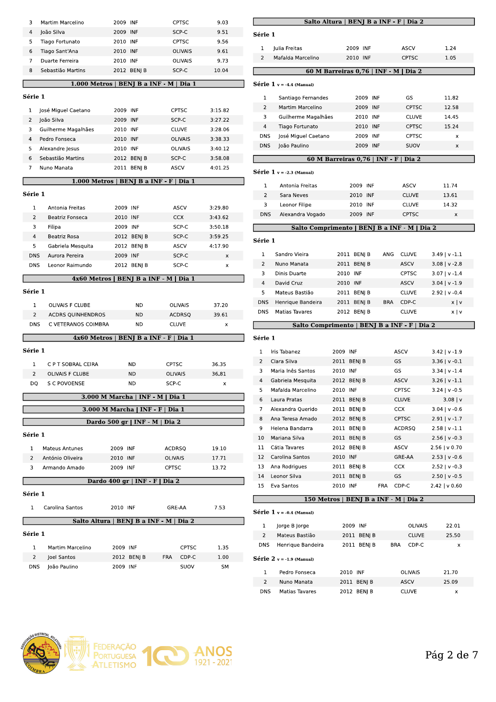| 3              | Martim Marcelino                          | 2009 INF             |                                |                | <b>CPTSC</b>            | 9.03               |
|----------------|-------------------------------------------|----------------------|--------------------------------|----------------|-------------------------|--------------------|
| 4              | João Silva                                | 2009 INF             |                                |                | SCP-C                   | 9.51               |
| 5              | Tiago Fortunato                           | 2010 INF             |                                |                | <b>CPTSC</b>            | 9.56               |
| 6              | Tiago Sant'Ana                            | 2010 INF             |                                |                | <b>OLIVAIS</b>          | 9.61               |
| 7              | Duarte Ferreira                           | 2010 INF             |                                |                | <b>OLIVAIS</b>          | 9.73               |
| 8              | Sebastião Martins                         |                      | 2012 BENJ B                    |                | SCP-C                   | 10.04              |
|                | $1.000$ Metros   BENJ B a INF - M   Dia 1 |                      |                                |                |                         |                    |
| Série 1        |                                           |                      |                                |                |                         |                    |
|                |                                           |                      |                                |                |                         |                    |
| 1              | José Miguel Caetano                       | 2009 INF             |                                |                | <b>CPTSC</b>            | 3:15.82            |
| 2              | João Silva                                | 2009 INF<br>2010 INF |                                |                | SCP-C                   | 3:27.22<br>3:28.06 |
| 3<br>4         | Guilherme Magalhães                       | 2010 INF             |                                |                | <b>CLUVE</b><br>OLIVAIS | 3:38.33            |
| 5              | Pedro Fonseca<br>Alexandre Jesus          | 2010 INF             |                                |                | <b>OLIVAIS</b>          | 3:40.12            |
| 6              | Sebastião Martins                         |                      |                                |                | SCP-C                   | 3:58.08            |
| $\overline{7}$ | Nuno Manata                               | 2011                 | 2012 BENJ B                    |                | <b>ASCV</b>             | 4:01.25            |
|                |                                           |                      | BENJ B                         |                |                         |                    |
|                | 1.000 Metros                              |                      | <b>BENJ B a INF - F</b>        |                | Dia 1                   |                    |
| Série 1        |                                           |                      |                                |                |                         |                    |
| 1              | Antonia Freitas                           | 2009 INF             |                                |                | <b>ASCV</b>             | 3:29.80            |
| 2              | Beatriz Fonseca                           | 2010 INF             |                                |                | <b>CCX</b>              | 3:43.62            |
| 3              | Filipa                                    | 2009 INF             |                                |                | SCP-C                   | 3:50.18            |
| 4              | Beatriz Rosa                              |                      | 2012 BENJ B                    |                | SCP-C                   | 3:59.25            |
| 5              | Gabriela Mesquita                         |                      | 2012 BENJ B                    |                | <b>ASCV</b>             | 4:17.90            |
| DNS            | Aurora Pereira                            | 2009 INF             |                                |                | SCP-C                   | x                  |
| <b>DNS</b>     | Leonor Raimundo                           |                      | 2012 BENJ B                    |                | SCP-C                   | x                  |
|                | 4x60 Metros   BENJ B a INF - M   Dia 1    |                      |                                |                |                         |                    |
|                |                                           |                      |                                |                |                         |                    |
| Série 1        |                                           |                      |                                |                |                         |                    |
| 1              | OLIVAIS F CLUBE                           |                      | ΝD                             |                | <b>OLIVAIS</b>          | 37.20              |
| 2              | <b>ACDRS QUINHENDROS</b>                  |                      | ND                             |                | <b>ACDRSQ</b>           | 39.61              |
| <b>DNS</b>     | C VETERANOS COIMBRA                       |                      | ΝD                             |                | <b>CLUVE</b>            | x                  |
|                | 4x60 Metros                               |                      | <b>BENJ B a INF - F  </b>      |                | Dia 1                   |                    |
|                |                                           |                      |                                |                |                         |                    |
| Série 1        |                                           |                      |                                |                |                         |                    |
| 1              | C P T SOBRAL CEIRA                        |                      | ND                             | <b>CPTSC</b>   |                         | 36.35              |
| 2              | OLIVAIS F CLUBE                           |                      | <b>ND</b>                      | <b>OLIVAIS</b> |                         | 36.81              |
| DQ             | S C POVOENSE                              |                      | <b>ND</b>                      | SCP-C          |                         | x                  |
|                |                                           |                      | 3.000 M Marcha   INF - M       | Dia 1          |                         |                    |
|                |                                           |                      | 3.000 M Marcha   INF - F       | Dia 1          |                         |                    |
|                |                                           |                      | Dardo 500 gr   INF - M   Dia 2 |                |                         |                    |
|                |                                           |                      |                                |                |                         |                    |
| Série 1        |                                           |                      |                                |                |                         |                    |
|                |                                           |                      |                                |                |                         |                    |
| 1              | <b>Mateus Antunes</b>                     | 2009 INF             |                                | <b>ACDRSQ</b>  |                         | 19.10              |
| $\overline{2}$ | António Oliveira                          | 2010 INF             |                                | <b>OLIVAIS</b> |                         | 17.71              |
| 3              | Armando Amado                             | 2009 INF             |                                | <b>CPTSC</b>   |                         | 13.72              |
|                |                                           |                      | Dardo 400 gr   INF - F         | Dia 2          |                         |                    |
|                |                                           |                      |                                |                |                         |                    |
| Série 1        |                                           |                      |                                |                |                         |                    |
| 1              | Carolina Santos                           | 2010 INF             |                                | GRE-AA         |                         | 7.53               |
|                | Salto Altura   BENJ B a INF - M   Dia 2   |                      |                                |                |                         |                    |
| Série 1        |                                           |                      |                                |                |                         |                    |
|                |                                           |                      |                                |                |                         |                    |
| 1              | Martim Marcelino                          | 2009 INF             |                                |                | <b>CPTSC</b>            | 1.35               |
| 2<br>DNS       | Joel Santos<br>João Paulino               | 2009 INF             | 2012 BENJ B                    | <b>FRA</b>     | CDP-C<br>SUOV           | 1.00<br>SΜ         |

|                                            | Salto Altura   BENJ B a INF - F   Dia 2      |                              |                  |
|--------------------------------------------|----------------------------------------------|------------------------------|------------------|
| Série 1                                    |                                              |                              |                  |
| 1<br>Julia Freitas                         | 2009 INF                                     | <b>ASCV</b>                  | 1.24             |
| $\overline{2}$<br>Mafalda Marcelino        | 2010 INF                                     | <b>CPTSC</b>                 | 1.05             |
|                                            | 60 M Barreiras 0,76   INF - M   Dia 2        |                              |                  |
|                                            |                                              |                              |                  |
| $Série 1 v = -4.4 (Manual)$                |                                              |                              |                  |
| 1<br>Santiago Fernandes                    | 2009 INF                                     | GS                           | 11.82            |
| $\overline{2}$<br>Martim Marcelino         | 2009 INF                                     | <b>CPTSC</b>                 | 12.58            |
| 3<br>Guilherme Magalhães                   | 2010 INF                                     | <b>CLUVE</b>                 | 14.45            |
| 4<br>Tiago Fortunato<br>DNS                | 2010 INF<br>2009 INF                         | <b>CPTSC</b><br><b>CPTSC</b> | 15.24            |
| José Miguel Caetano<br>DNS<br>João Paulino | 2009 INF                                     | SUOV                         | x<br>x           |
|                                            |                                              |                              |                  |
|                                            | 60 M Barreiras 0,76   INF - F                | Dia 2                        |                  |
| $Série 1 v = -2.3 (Manual)$                |                                              |                              |                  |
| 1<br>Antonia Freitas                       | 2009 INF                                     | ASCV                         | 11.74            |
| 2<br>Sara Neves                            | 2010 INF                                     | <b>CLUVE</b>                 | 13.61            |
| 3<br>Leonor Filipe                         | 2010 INF                                     | <b>CLUVE</b>                 | 14.32            |
| Alexandra Vogado<br>DNS                    | 2009 INF                                     | <b>CPTSC</b>                 | x                |
|                                            | Salto Comprimento   BENJ B a INF - M   Dia 2 |                              |                  |
| Série 1                                    |                                              |                              |                  |
| 1<br>Sandro Vieira                         | 2011 BENJ B                                  | ANG<br><b>CLUVE</b>          | $3.49$   v -1.1  |
| $\overline{2}$<br>Nuno Manata              | 2011 BENJ B                                  | ASCV                         | $3.08$   v -2.8  |
| Dinis Duarte<br>3                          | 2010 INF                                     | <b>CPTSC</b>                 | $3.07$   v -1.4  |
| 4<br>David Cruz                            | 2010 INF                                     | <b>ASCV</b>                  | $3.04$   v -1.9  |
| 5<br>Mateus Bastião                        | 2011 BENJ B                                  | <b>CLUVE</b>                 | $2.92$   v -0.4  |
| <b>DNS</b><br>Henrique Bandeira            | 2011 BENJ B                                  | <b>BRA</b><br>CDP-C          | x   v            |
| <b>DNS</b><br>Matias Tavares               | 2012 BENJ B                                  | <b>CLUVE</b>                 | x   v            |
|                                            | Salto Comprimento   BENJ B a INF - F   Dia 2 |                              |                  |
| Série 1                                    |                                              |                              |                  |
| 1<br>Iris Tabanez                          | 2009 INF                                     | <b>ASCV</b>                  | $3.42$   v -1.9  |
| $\overline{2}$<br>Clara Silva              | 2011 BENJ B                                  | GS                           | $3.36$   v -0.1  |
| 3<br>Maria Inês Santos                     | 2010 INF                                     | GS                           | $3.34$   v -1.4  |
| 4<br>Gabriela Mesquita                     | 2012 BENJ B                                  | <b>ASCV</b>                  | $3.26$   v -1.1  |
| 5<br>Mafalda Marcelino                     | 2010 INF                                     | <b>CPTSC</b>                 | $3.24$   v -0.5  |
| 6<br>Laura Pratas                          | 2011 BENJ B                                  | <b>CLUVE</b>                 | $3.08$   v       |
| 7<br>Alexandra Querido                     | 2011 BEN  B                                  | <b>CCX</b>                   | $3.04$   v -0.6  |
| 8<br>Ana Teresa Amado                      | 2012 BENJ B                                  | <b>CPTSC</b>                 | $2.91$   v -1.7  |
| 9<br>Helena Bandarra                       | 2011 BENJ B                                  | <b>ACDRSQ</b>                | $2.58   v - 1.1$ |
| 10<br>Mariana Silva                        | 2011 BENJ B                                  | GS                           | $2.56$   v -0.3  |
| 11<br>Cátia Tavares                        | 2012 BEN  B                                  | ASCV                         | $2.56$   v 0.70  |
| 12<br>Carolina Santos                      | 2010 INF                                     | GRE-AA                       | $2.53   v - 0.6$ |
| 13<br>Ana Rodrigues                        | 2011 BENJ B                                  | <b>CCX</b>                   | $2.52$   v -0.3  |
| 14<br>Leonor Silva                         | 2011 BENJ B                                  | GS                           | $2.50$   v -0.5  |
| 15<br>Eva Santos                           | FRA<br>2010 INF                              | CDP-C                        | $2.42$   v 0.60  |
|                                            | 150 Metros   BENJ B a INF - M   Dia 2        |                              |                  |
| $Série 1 v = -0.4 (Manual)$                |                                              |                              |                  |
| 1<br>Jorge B Jorge                         | 2009 INF                                     | OLIVAIS                      | 22.01            |
| $\overline{c}$<br>Mateus Bastião           | 2011 BENJ B                                  | <b>CLUVE</b>                 | 25.50            |
| <b>DNS</b><br>Henrique Bandeira            | 2011 BENJ B                                  | <b>BRA</b><br>CDP-C          | X                |
| $Série 2 v = -1.9 (Manual)$                |                                              |                              |                  |
| 1<br>Pedro Fonseca                         | 2010 INF                                     | <b>OLIVAIS</b>               | 21.70            |
| $\overline{2}$<br>Nuno Manata              | 2011 BENJ B                                  | ASCV                         | 25.09            |



 $\mathsf{x}$ 

CLUVE

2012 BENJ B

**DNS** 

Matias Tavares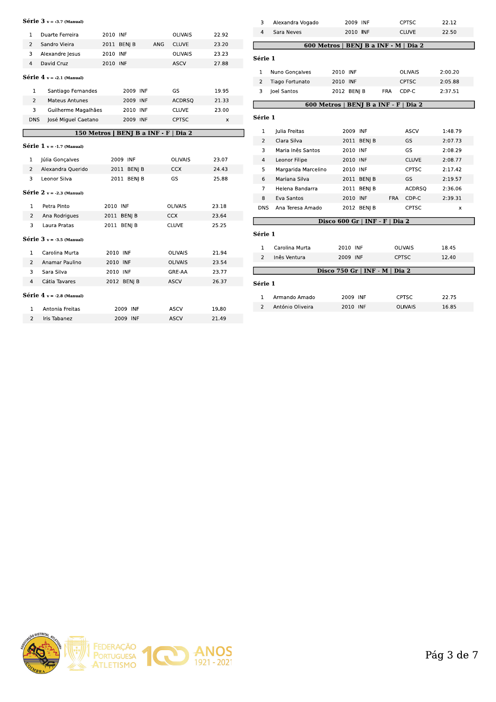#### Série v = -3.7 (Manual)

| 1                       | Duarte Ferreira             | 2010 INF |                         | <b>OLIVAIS</b>      | 22.92 |
|-------------------------|-----------------------------|----------|-------------------------|---------------------|-------|
| $\overline{2}$          | Sandro Vieira               | 2011     | BENJ B                  | ANG<br><b>CLUVE</b> | 23.20 |
| 3                       | Alexandre Jesus             | 2010 INF |                         | <b>OLIVAIS</b>      | 23.23 |
| $\overline{\mathbf{4}}$ | David Cruz                  | 2010 INF |                         | <b>ASCV</b>         | 27.88 |
|                         | $Série 4 v = -2.1 (Manual)$ |          |                         |                     |       |
|                         |                             |          |                         |                     |       |
| 1                       | Santiago Fernandes          |          | 2009 INF                | GS                  | 19.95 |
| $\overline{2}$          | <b>Mateus Antunes</b>       |          | 2009 INF                | <b>ACDRSQ</b>       | 21.33 |
| 3                       | Guilherme Magalhães         |          | 2010 INF                | <b>CLUVE</b>        | 23.00 |
| <b>DNS</b>              | José Miguel Caetano         |          | 2009 INF                | <b>CPTSC</b>        | x     |
|                         | 150 Metros                  |          | <b>BENJ B a INF - F</b> | Dia 2               |       |
|                         | Série $1 v = -1.7$ (Manual) |          |                         |                     |       |
|                         |                             |          |                         |                     |       |
| 1                       | Júlia Gonçalves             |          | 2009 INF                | <b>OLIVAIS</b>      | 23.07 |
| $\overline{2}$          | Alexandra Querido           |          | 2011 BENJ B             | <b>CCX</b>          | 24.43 |
| 3                       | Leonor Silva                |          | 2011 BENI B             | GS                  | 25.88 |
|                         | Série $2v = -2.3$ (Manual)  |          |                         |                     |       |
|                         |                             |          |                         |                     |       |
| 1                       | Petra Pinto                 |          | 2010 INF                | <b>OLIVAIS</b>      | 23.18 |
| $\overline{2}$          | Ana Rodrigues               |          | 2011 BEN  B             | <b>CCX</b>          | 23.64 |
| 3                       | Laura Pratas                |          | 2011 BENJ B             | <b>CLUVE</b>        | 25.25 |
|                         | Série $3v = -3.5$ (Manual)  |          |                         |                     |       |
|                         |                             |          |                         |                     |       |
| 1                       | Carolina Murta              |          | 2010 INF                | <b>OLIVAIS</b>      | 21.94 |
| 2                       | Anamar Paulino              |          | 2010 INF                | <b>OLIVAIS</b>      | 23.54 |
| 3                       | Sara Silva                  |          | 2010 INF                | GRE-AA              | 23.77 |
| 4                       | Cátia Tavares               |          | 2012 BEN  B             | <b>ASCV</b>         | 26.37 |
|                         | Série $4v = -2.8$ (Manual)  |          |                         |                     |       |
|                         |                             |          |                         |                     |       |
| $\mathbf{1}$            | Antonia Freitas             |          | 2009 INF                | <b>ASCV</b>         | 19.80 |
| $\mathcal{P}$           | Iris Tabanez                |          | 2009 INF                | ASCV                | 21.49 |

| 3              | Alexandra Vogado    | 2009 INF                              | <b>CPTSC</b>        | 22.12   |  |
|----------------|---------------------|---------------------------------------|---------------------|---------|--|
| 4              | Sara Neves          | 2010 INF                              | <b>CLUVE</b>        | 22.50   |  |
|                |                     | 600 Metros   BENJ B a INF - M   Dia 2 |                     |         |  |
| Série 1        |                     |                                       |                     |         |  |
| $\mathbf{1}$   | Nuno Gonçalves      | 2010 INF                              | <b>OLIVAIS</b>      | 2:00.20 |  |
| $\overline{2}$ | Tiago Fortunato     | 2010 INF                              | <b>CPTSC</b>        | 2:05.88 |  |
| 3              | Joel Santos         | 2012 BENJ B                           | FRA<br>CDP-C        | 2:37.51 |  |
|                | 600 Metros          | <b>BENJ B a INF - F</b>               | Dia 2               |         |  |
| Série 1        |                     |                                       |                     |         |  |
|                |                     |                                       |                     |         |  |
| 1              | Julia Freitas       | 2009 INF                              | <b>ASCV</b>         | 1:48.79 |  |
| 2              | Clara Silva         | 2011 BENJ B                           | GS                  | 2:07.73 |  |
| 3              | Maria Inês Santos   | 2010 INF                              | GS                  | 2:08.29 |  |
| 4              | Leonor Filipe       | 2010 INF                              | <b>CLUVE</b>        | 2:08.77 |  |
| 5              | Margarida Marcelino | 2010 INF                              | <b>CPTSC</b>        | 2:17.42 |  |
| 6              | Mariana Silva       | 2011 BENJ B                           | GS                  | 2:19.57 |  |
| 7              | Helena Bandarra     | 2011 BENJ B                           | <b>ACDRSQ</b>       | 2:36.06 |  |
| 8              | Eva Santos          | 2010 INF                              | <b>FRA</b><br>CDP-C | 2:39.31 |  |
| DNS            | Ana Teresa Amado    | 2012 BENI B                           | <b>CPTSC</b>        | x       |  |
|                |                     | Disco 600 Gr   INF - F                | Dia 2               |         |  |
| Série 1        |                     |                                       |                     |         |  |
| 1              | Carolina Murta      | 2010 INF                              | <b>OLIVAIS</b>      | 18.45   |  |
| 2              | Inês Ventura        | 2009 INF                              | <b>CPTSC</b>        | 12.40   |  |
|                |                     | Disco 750 Gr   INF - M                | Dia 2               |         |  |
| Série 1        |                     |                                       |                     |         |  |
| 1              | Armando Amado       | 2009 INF                              | <b>CPTSC</b>        | 22.75   |  |
| 2              | António Oliveira    | 2010 INF                              | <b>OLIVAIS</b>      | 16.85   |  |
|                |                     |                                       |                     |         |  |

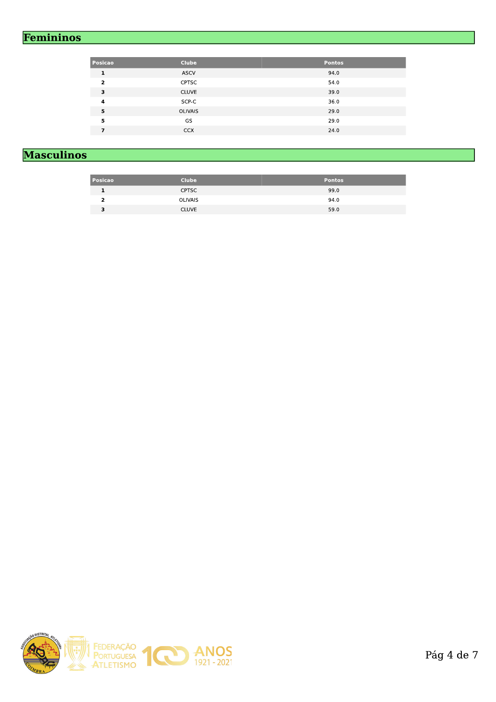### Femininos

| Posicao                 | <b>Clube</b>   | <b>Pontos</b> |
|-------------------------|----------------|---------------|
| 1                       | <b>ASCV</b>    | 94.0          |
| $\overline{\mathbf{z}}$ | <b>CPTSC</b>   | 54.0          |
| 3                       | <b>CLUVE</b>   | 39.0          |
| 4                       | SCP-C          | 36.0          |
| 5                       | <b>OLIVAIS</b> | 29.0          |
| 5                       | GS             | 29.0          |
| 7                       | <b>CCX</b>     | 24.0          |

# **Masculinos**

| Posicao | <b>Clube</b>   | <b>Pontos</b> |
|---------|----------------|---------------|
|         | <b>CPTSC</b>   | 99.0          |
|         | <b>OLIVAIS</b> | 94.0          |
| з       | <b>CLUVE</b>   | 59.0          |

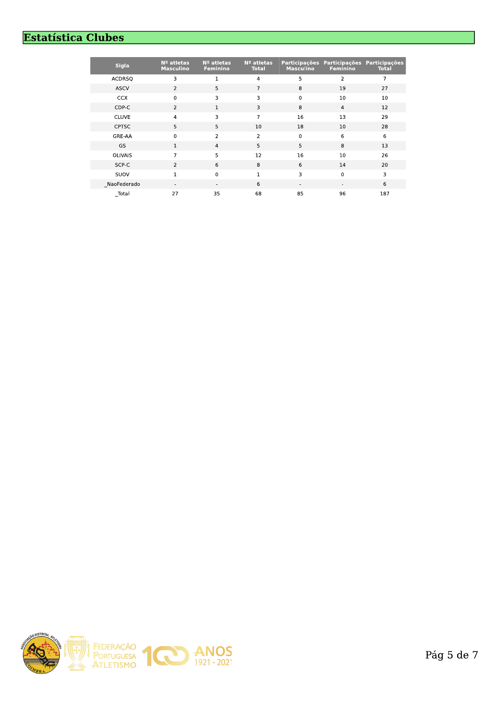### **Estatística Clubes**

| <b>Sigla</b>   | Nº atletas<br><b>Masculino</b> | Nº atletas<br><b>Feminino</b> | $No$ atletas<br><b>Total</b> | <b>Participações</b><br><b>Masculino</b> | Participações Participações<br>Feminino | <b>Total</b> |
|----------------|--------------------------------|-------------------------------|------------------------------|------------------------------------------|-----------------------------------------|--------------|
| <b>ACDRSQ</b>  | 3                              |                               | 4                            | 5                                        | 2                                       | 7            |
| <b>ASCV</b>    | $\overline{2}$                 | 5                             | $\overline{7}$               | 8                                        | 19                                      | 27           |
| <b>CCX</b>     | $\mathbf 0$                    | 3                             | 3                            | $\mathbf 0$                              | 10                                      | 10           |
| CDP-C          | $\overline{2}$                 | 1                             | 3                            | 8                                        | $\overline{4}$                          | 12           |
| <b>CLUVE</b>   | $\overline{\mathbf{4}}$        | 3                             | $\overline{7}$               | 16                                       | 13                                      | 29           |
| <b>CPTSC</b>   | 5                              | 5                             | 10                           | 18                                       | 10                                      | 28           |
| GRE-AA         | $\mathbf 0$                    | $\overline{2}$                | 2                            | $\mathbf 0$                              | 6                                       | 6            |
| <b>GS</b>      | 1                              | $\overline{4}$                | 5                            | 5                                        | 8                                       | 13           |
| <b>OLIVAIS</b> | 7                              | 5                             | 12                           | 16                                       | 10                                      | 26           |
| SCP-C          | $\overline{2}$                 | 6                             | 8                            | 6                                        | 14                                      | 20           |
| SUOV           | 1                              | $\mathbf 0$                   | 1                            | 3                                        | $\mathbf 0$                             | 3            |
| NaoFederado    | ٠                              | ۰                             | 6                            | ٠                                        | ٠                                       | 6            |
| Total          | 27                             | 35                            | 68                           | 85                                       | 96                                      | 187          |

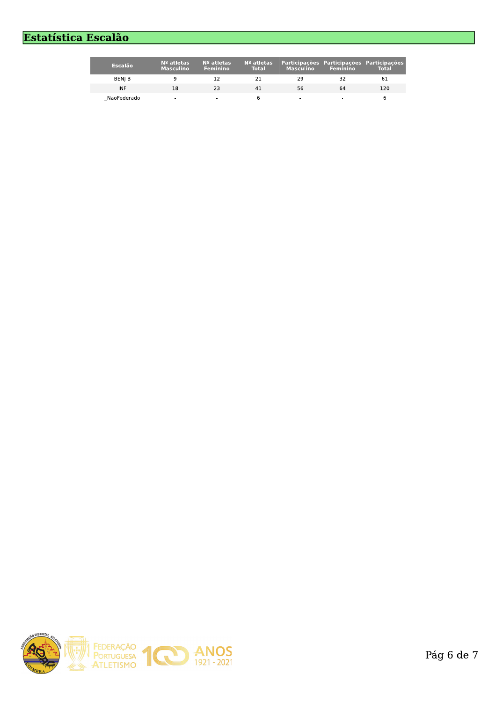# Estatística Escalão

| <b>Escalão</b> | $No$ atletas<br><b>Masculino</b> | $No$ atletas<br><b>Feminino</b> | $No$ atletas<br><b>Total</b> | Participações Participações Participações<br><b>Masculino</b> | <b>Feminino</b> | <b>Total</b> |
|----------------|----------------------------------|---------------------------------|------------------------------|---------------------------------------------------------------|-----------------|--------------|
| BENI B         |                                  |                                 |                              | 29                                                            |                 | 61           |
| <b>INF</b>     | 18                               | 23                              | 41                           | 56                                                            | 64              | 120          |
| NaoFederado    | $\overline{\phantom{0}}$         |                                 |                              |                                                               |                 |              |